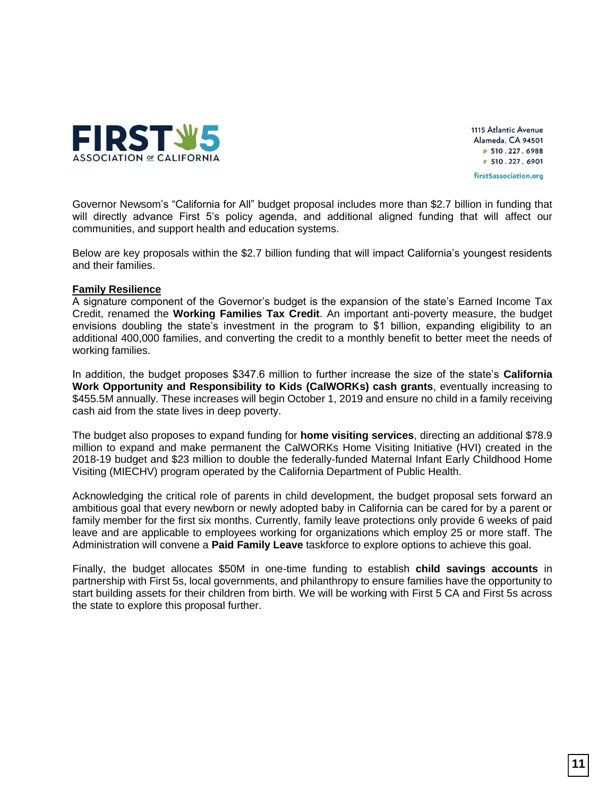

1115 Atlantic Avenue Alameda, CA 94501 P 510.227.6988 F 510.227.6901 first5association.org

Governor Newsom's "California for All" budget proposal includes more than \$2.7 billion in funding that will directly advance First 5's policy agenda, and additional aligned funding that will affect our communities, and support health and education systems.

Below are key proposals within the \$2.7 billion funding that will impact California's youngest residents and their families.

### **Family Resilience**

A signature component of the Governor's budget is the expansion of the state's Earned Income Tax Credit, renamed the **Working Families Tax Credit**. An important anti-poverty measure, the budget envisions doubling the state's investment in the program to \$1 billion, expanding eligibility to an additional 400,000 families, and converting the credit to a monthly benefit to better meet the needs of working families.

In addition, the budget proposes \$347.6 million to further increase the size of the state's **California Work Opportunity and Responsibility to Kids (CalWORKs) cash grants**, eventually increasing to \$455.5M annually. These increases will begin October 1, 2019 and ensure no child in a family receiving cash aid from the state lives in deep poverty.

The budget also proposes to expand funding for **home visiting services**, directing an additional \$78.9 million to expand and make permanent the CalWORKs Home Visiting Initiative (HVI) created in the 2018-19 budget and \$23 million to double the federally-funded Maternal Infant Early Childhood Home Visiting (MIECHV) program operated by the California Department of Public Health.

Acknowledging the critical role of parents in child development, the budget proposal sets forward an ambitious goal that every newborn or newly adopted baby in California can be cared for by a parent or family member for the first six months. Currently, family leave protections only provide 6 weeks of paid leave and are applicable to employees working for organizations which employ 25 or more staff. The Administration will convene a **Paid Family Leave** taskforce to explore options to achieve this goal.

Finally, the budget allocates \$50M in one-time funding to establish **child savings accounts** in partnership with First 5s, local governments, and philanthropy to ensure families have the opportunity to start building assets for their children from birth. We will be working with First 5 CA and First 5s across the state to explore this proposal further.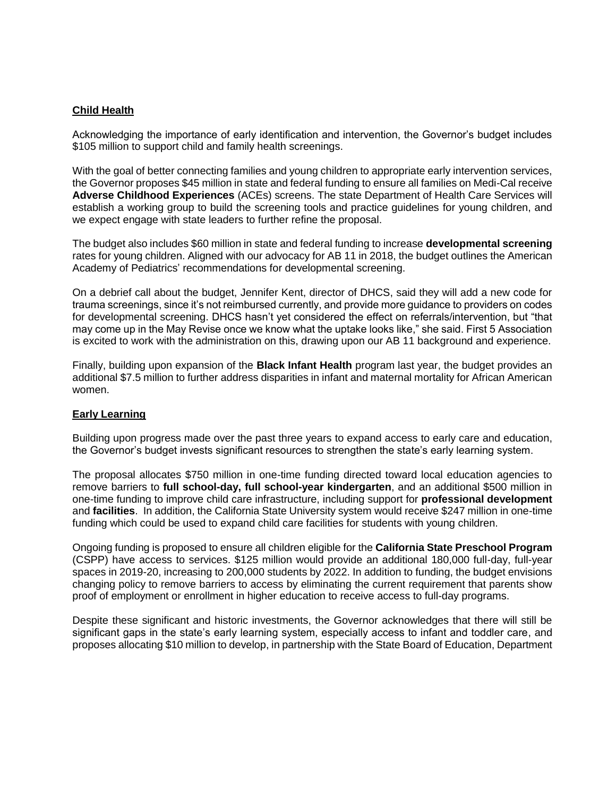# **Child Health**

Acknowledging the importance of early identification and intervention, the Governor's budget includes \$105 million to support child and family health screenings.

With the goal of better connecting families and young children to appropriate early intervention services, the Governor proposes \$45 million in state and federal funding to ensure all families on Medi-Cal receive **Adverse Childhood Experiences** (ACEs) screens. The state Department of Health Care Services will establish a working group to build the screening tools and practice guidelines for young children, and we expect engage with state leaders to further refine the proposal.

The budget also includes \$60 million in state and federal funding to increase **developmental screening** rates for young children. Aligned with our advocacy for AB 11 in 2018, the budget outlines the American Academy of Pediatrics' recommendations for developmental screening.

On a debrief call about the budget, Jennifer Kent, director of DHCS, said they will add a new code for trauma screenings, since it's not reimbursed currently, and provide more guidance to providers on codes for developmental screening. DHCS hasn't yet considered the effect on referrals/intervention, but "that may come up in the May Revise once we know what the uptake looks like," she said. First 5 Association is excited to work with the administration on this, drawing upon our AB 11 background and experience.

Finally, building upon expansion of the **Black Infant Health** program last year, the budget provides an additional \$7.5 million to further address disparities in infant and maternal mortality for African American women.

### **Early Learning**

Building upon progress made over the past three years to expand access to early care and education, the Governor's budget invests significant resources to strengthen the state's early learning system.

The proposal allocates \$750 million in one-time funding directed toward local education agencies to remove barriers to **full school-day, full school-year kindergarten**, and an additional \$500 million in one-time funding to improve child care infrastructure, including support for **professional development** and **facilities**. In addition, the California State University system would receive \$247 million in one-time funding which could be used to expand child care facilities for students with young children.

Ongoing funding is proposed to ensure all children eligible for the **California State Preschool Program** (CSPP) have access to services. \$125 million would provide an additional 180,000 full-day, full-year spaces in 2019-20, increasing to 200,000 students by 2022. In addition to funding, the budget envisions changing policy to remove barriers to access by eliminating the current requirement that parents show proof of employment or enrollment in higher education to receive access to full-day programs.

Despite these significant and historic investments, the Governor acknowledges that there will still be significant gaps in the state's early learning system, especially access to infant and toddler care, and proposes allocating \$10 million to develop, in partnership with the State Board of Education, Department